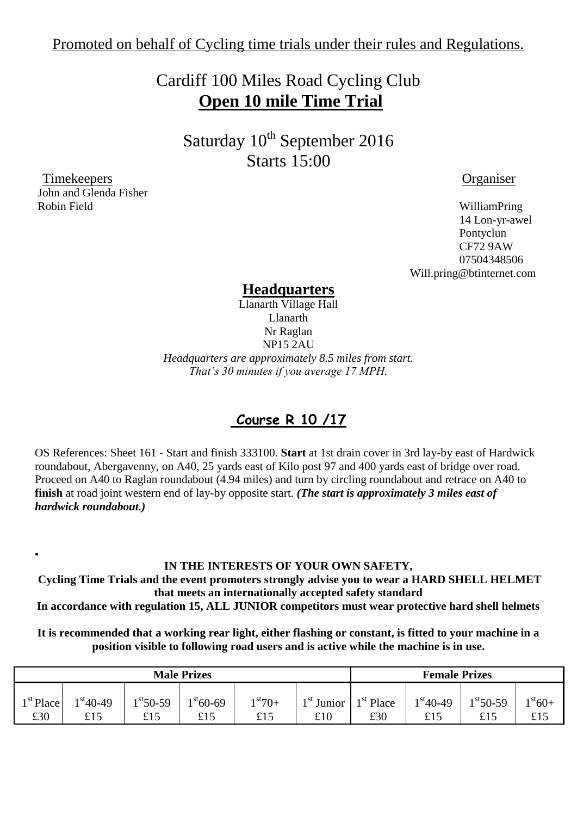## Cardiff 100 Miles Road Cycling Club **Open 10 mile Time Trial**

Saturday 10<sup>th</sup> September 2016 Starts 15:00

 Timekeepers Organiser John and Glenda Fisher Robin Field WilliamPring

.

 14 Lon-yr-awel Pontyclun CF72 9AW 07504348506 Will.pring@btinternet.com

#### **Headquarters**

Llanarth Village Hall Llanarth Nr Raglan NP15 2AU *Headquarters are approximately 8.5 miles from start. That's 30 minutes if you average 17 MPH.*

### **Course R 10 /17**

OS References: Sheet 161 - Start and finish 333100. **Start** at 1st drain cover in 3rd lay-by east of Hardwick roundabout, Abergavenny, on A40, 25 yards east of Kilo post 97 and 400 yards east of bridge over road. Proceed on A40 to Raglan roundabout (4.94 miles) and turn by circling roundabout and retrace on A40 to **finish** at road joint western end of lay-by opposite start. *(The start is approximately 3 miles east of hardwick roundabout.)*

#### **IN THE INTERESTS OF YOUR OWN SAFETY,**

**Cycling Time Trials and the event promoters strongly advise you to wear a HARD SHELL HELMET that meets an internationally accepted safety standard**

**In accordance with regulation 15, ALL JUNIOR competitors must wear protective hard shell helmets**

**It is recommended that a working rear light, either flashing or constant, is fitted to your machine in a position visible to following road users and is active while the machine is in use.**

| <b>Male Prizes</b>    |            |            |            |                   | <b>Female Prizes</b> |             |            |            |             |
|-----------------------|------------|------------|------------|-------------------|----------------------|-------------|------------|------------|-------------|
| <sup>1 st</sup> Place | $1st40-49$ | $1st50-59$ | $1st60-69$ | $1 \text{st} 70+$ | $1st$ Junior         | $1st$ Place | $1st40-49$ | $1st50-59$ | $1^{st}60+$ |
| £30                   | £15        | £15        | £15        | £15               | £10                  | £30         | £15        | £15        | £15         |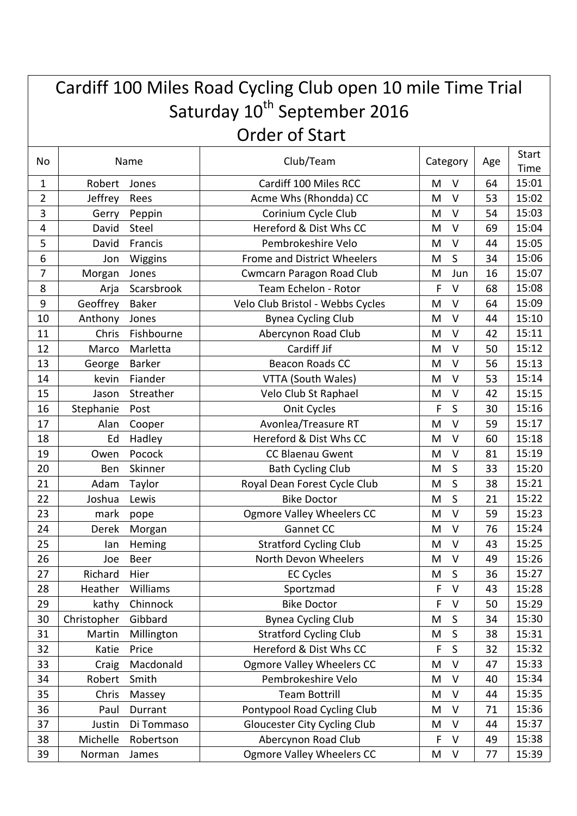| Cardiff 100 Miles Road Cycling Club open 10 mile Time Trial |             |               |                                  |   |              |    |               |  |  |
|-------------------------------------------------------------|-------------|---------------|----------------------------------|---|--------------|----|---------------|--|--|
| Saturday 10 <sup>th</sup> September 2016                    |             |               |                                  |   |              |    |               |  |  |
| <b>Order of Start</b>                                       |             |               |                                  |   |              |    |               |  |  |
| No                                                          | Name        |               | Club/Team                        |   | Category     |    | Start<br>Time |  |  |
| 1                                                           | Robert      | Jones         | Cardiff 100 Miles RCC            | M | $\vee$       | 64 | 15:01         |  |  |
| 2                                                           | Jeffrey     | Rees          | Acme Whs (Rhondda) CC            | M | $\vee$       | 53 | 15:02         |  |  |
| 3                                                           | Gerry       | Peppin        | Corinium Cycle Club              | M | $\vee$       | 54 | 15:03         |  |  |
| 4                                                           | David       | Steel         | Hereford & Dist Whs CC           | M | $\vee$       | 69 | 15:04         |  |  |
| 5                                                           | David       | Francis       | Pembrokeshire Velo               | M | V            | 44 | 15:05         |  |  |
| 6                                                           | Jon         | Wiggins       | Frome and District Wheelers      | M | S            | 34 | 15:06         |  |  |
| 7                                                           | Morgan      | Jones         | <b>Cwmcarn Paragon Road Club</b> | M | Jun          | 16 | 15:07         |  |  |
| 8                                                           | Arja        | Scarsbrook    | Team Echelon - Rotor             | F | $\vee$       | 68 | 15:08         |  |  |
| 9                                                           | Geoffrey    | <b>Baker</b>  | Velo Club Bristol - Webbs Cycles | M | V            | 64 | 15:09         |  |  |
| 10                                                          | Anthony     | Jones         | <b>Bynea Cycling Club</b>        | M | $\vee$       | 44 | 15:10         |  |  |
| 11                                                          | Chris       | Fishbourne    | Abercynon Road Club              | M | $\vee$       | 42 | 15:11         |  |  |
| 12                                                          | Marco       | Marletta      | Cardiff Jif                      | M | $\vee$       | 50 | 15:12         |  |  |
| 13                                                          | George      | <b>Barker</b> | <b>Beacon Roads CC</b>           | M | $\vee$       | 56 | 15:13         |  |  |
| 14                                                          | kevin       | Fiander       | VTTA (South Wales)               | M | $\vee$       | 53 | 15:14         |  |  |
| 15                                                          | Jason       | Streather     | Velo Club St Raphael             | M | $\vee$       | 42 | 15:15         |  |  |
| 16                                                          | Stephanie   | Post          | Onit Cycles                      | F | S            | 30 | 15:16         |  |  |
| 17                                                          | Alan        | Cooper        | Avonlea/Treasure RT              | M | $\vee$       | 59 | 15:17         |  |  |
| 18                                                          | Ed          | Hadley        | Hereford & Dist Whs CC           | M | $\vee$       | 60 | 15:18         |  |  |
| 19                                                          | Owen        | Pocock        | <b>CC Blaenau Gwent</b>          | M | $\vee$       | 81 | 15:19         |  |  |
| 20                                                          | Ben         | Skinner       | <b>Bath Cycling Club</b>         | M | S            | 33 | 15:20         |  |  |
| 21                                                          | Adam        | Taylor        | Royal Dean Forest Cycle Club     | M | S            | 38 | 15:21         |  |  |
| 22                                                          | Joshua      | Lewis         | <b>Bike Doctor</b>               | M | S            | 21 | 15:22         |  |  |
| 23                                                          | mark        | pope          | <b>Ogmore Valley Wheelers CC</b> | M | V            | 59 | 15:23         |  |  |
| 24                                                          | Derek       | Morgan        | Gannet CC                        | M | $\vee$       | 76 | 15:24         |  |  |
| 25                                                          | lan         | Heming        | <b>Stratford Cycling Club</b>    | M | $\mathsf{V}$ | 43 | 15:25         |  |  |
| 26                                                          | Joe         | Beer          | North Devon Wheelers             | M | $\sf V$      | 49 | 15:26         |  |  |
| 27                                                          | Richard     | Hier          | <b>EC Cycles</b>                 | M | $\mathsf S$  | 36 | 15:27         |  |  |
| 28                                                          | Heather     | Williams      | Sportzmad                        | F | $\vee$       | 43 | 15:28         |  |  |
| 29                                                          | kathy       | Chinnock      | <b>Bike Doctor</b>               | F | V            | 50 | 15:29         |  |  |
| 30                                                          | Christopher | Gibbard       | <b>Bynea Cycling Club</b>        | M | $\mathsf S$  | 34 | 15:30         |  |  |
| 31                                                          | Martin      | Millington    | <b>Stratford Cycling Club</b>    | M | $\sf S$      | 38 | 15:31         |  |  |
| 32                                                          | Katie       | Price         | Hereford & Dist Whs CC           | F | $\mathsf S$  | 32 | 15:32         |  |  |
| 33                                                          | Craig       | Macdonald     | Ogmore Valley Wheelers CC        | M | $\vee$       | 47 | 15:33         |  |  |
| 34                                                          | Robert      | Smith         | Pembrokeshire Velo               | M | $\sf V$      | 40 | 15:34         |  |  |
| 35                                                          | Chris       | Massey        | <b>Team Bottrill</b>             | M | $\sf V$      | 44 | 15:35         |  |  |
| 36                                                          | Paul        | Durrant       | Pontypool Road Cycling Club      | M | V            | 71 | 15:36         |  |  |
| 37                                                          | Justin      | Di Tommaso    | Gloucester City Cycling Club     | M | V            | 44 | 15:37         |  |  |
| 38                                                          | Michelle    | Robertson     | Abercynon Road Club              | F | V            | 49 | 15:38         |  |  |
| 39                                                          | Norman      | James         | <b>Ogmore Valley Wheelers CC</b> | M | $\sf V$      | 77 | 15:39         |  |  |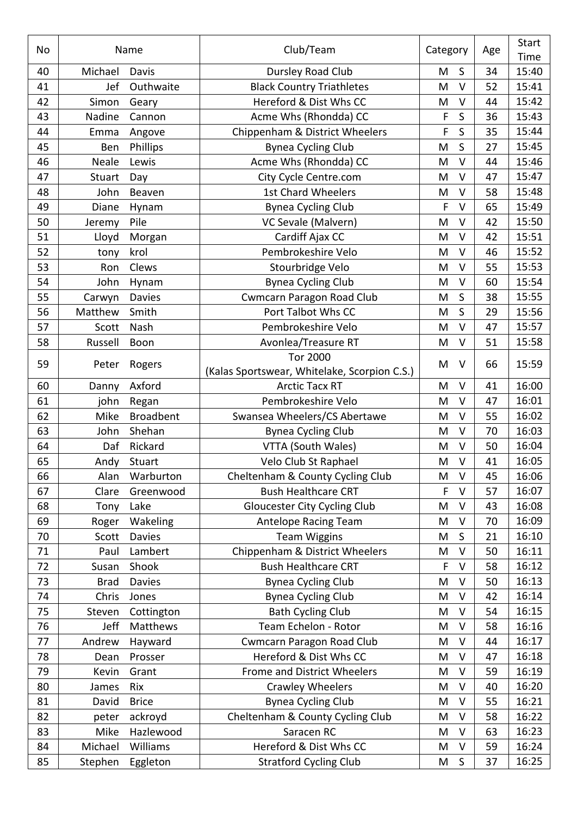| No | Name        |                  | Club/Team                                                       |   | Category    |    | <b>Start</b><br>Time |
|----|-------------|------------------|-----------------------------------------------------------------|---|-------------|----|----------------------|
| 40 | Michael     | Davis            | Dursley Road Club                                               |   | $\sf S$     | 34 | 15:40                |
| 41 | Jef         | Outhwaite        | <b>Black Country Triathletes</b>                                |   | $\vee$      | 52 | 15:41                |
| 42 | Simon       | Geary            | Hereford & Dist Whs CC                                          |   | $\vee$      | 44 | 15:42                |
| 43 | Nadine      | Cannon           | Acme Whs (Rhondda) CC                                           | F | $\mathsf S$ | 36 | 15:43                |
| 44 | Emma        | Angove           | Chippenham & District Wheelers                                  |   | S           | 35 | 15:44                |
| 45 | Ben         | Phillips         | <b>Bynea Cycling Club</b>                                       |   | S           | 27 | 15:45                |
| 46 | Neale       | Lewis            | Acme Whs (Rhondda) CC                                           |   | $\vee$      | 44 | 15:46                |
| 47 | Stuart      | Day              | City Cycle Centre.com                                           |   | $\sf V$     | 47 | 15:47                |
| 48 | John        | Beaven           | 1st Chard Wheelers                                              |   | $\vee$      | 58 | 15:48                |
| 49 | Diane       | Hynam            | <b>Bynea Cycling Club</b>                                       | F | $\vee$      | 65 | 15:49                |
| 50 | Jeremy      | Pile             | VC Sevale (Malvern)                                             | M | V           | 42 | 15:50                |
| 51 | Lloyd       | Morgan           | Cardiff Ajax CC                                                 |   | $\vee$      | 42 | 15:51                |
| 52 | tony        | krol             | Pembrokeshire Velo                                              |   | $\vee$      | 46 | 15:52                |
| 53 | Ron         | Clews            | Stourbridge Velo                                                | M | $\vee$      | 55 | 15:53                |
| 54 | John        | Hynam            | <b>Bynea Cycling Club</b>                                       | M | V           | 60 | 15:54                |
| 55 | Carwyn      | <b>Davies</b>    | <b>Cwmcarn Paragon Road Club</b>                                | M | S           | 38 | 15:55                |
| 56 | Matthew     | Smith            | Port Talbot Whs CC                                              | M | S           | 29 | 15:56                |
| 57 | Scott       | Nash             | Pembrokeshire Velo                                              | M | $\vee$      | 47 | 15:57                |
| 58 | Russell     | Boon             | Avonlea/Treasure RT                                             | M | $\vee$      | 51 | 15:58                |
| 59 | Peter       | Rogers           | <b>Tor 2000</b><br>(Kalas Sportswear, Whitelake, Scorpion C.S.) | M | $\vee$      | 66 | 15:59                |
| 60 | Danny       | Axford           | <b>Arctic Tacx RT</b>                                           | M | V           | 41 | 16:00                |
| 61 | john        | Regan            | Pembrokeshire Velo                                              | M | $\vee$      | 47 | 16:01                |
| 62 | Mike        | <b>Broadbent</b> | Swansea Wheelers/CS Abertawe                                    | M | V           | 55 | 16:02                |
| 63 | John        | Shehan           | <b>Bynea Cycling Club</b>                                       | M | $\vee$      | 70 | 16:03                |
| 64 | Daf         | Rickard          | VTTA (South Wales)                                              | M | $\vee$      | 50 | 16:04                |
| 65 | Andy        | Stuart           | Velo Club St Raphael                                            | M | $\vee$      | 41 | 16:05                |
| 66 | Alan        | Warburton        | Cheltenham & County Cycling Club                                | M | V           | 45 | 16:06                |
| 67 | Clare       | Greenwood        | <b>Bush Healthcare CRT</b>                                      | F | $\vee$      | 57 | 16:07                |
| 68 | Tony        | Lake             | <b>Gloucester City Cycling Club</b>                             | M | $\vee$      | 43 | 16:08                |
| 69 | Roger       | Wakeling         | Antelope Racing Team                                            | M | $\vee$      | 70 | 16:09                |
| 70 | Scott       | <b>Davies</b>    | <b>Team Wiggins</b>                                             | Μ | $\mathsf S$ | 21 | 16:10                |
| 71 | Paul        | Lambert          | Chippenham & District Wheelers                                  | M | $\vee$      | 50 | 16:11                |
| 72 | Susan       | Shook            | <b>Bush Healthcare CRT</b>                                      | F | V           | 58 | 16:12                |
| 73 | <b>Brad</b> | <b>Davies</b>    | <b>Bynea Cycling Club</b>                                       | M | $\vee$      | 50 | 16:13                |
| 74 | Chris       | Jones            | <b>Bynea Cycling Club</b>                                       | M | V           | 42 | 16:14                |
| 75 | Steven      | Cottington       | <b>Bath Cycling Club</b>                                        | M | V           | 54 | 16:15                |
| 76 | Jeff        | Matthews         | Team Echelon - Rotor                                            | M | $\vee$      | 58 | 16:16                |
| 77 | Andrew      | Hayward          | <b>Cwmcarn Paragon Road Club</b>                                | M | V           | 44 | 16:17                |
| 78 | Dean        | Prosser          | Hereford & Dist Whs CC                                          | M | $\vee$      | 47 | 16:18                |
| 79 | Kevin       | Grant            | Frome and District Wheelers                                     | M | $\vee$      | 59 | 16:19                |
| 80 | James       | Rix              | <b>Crawley Wheelers</b>                                         |   | $\vee$      | 40 | 16:20                |
| 81 | David       | <b>Brice</b>     | <b>Bynea Cycling Club</b>                                       |   | $\vee$      | 55 | 16:21                |
| 82 | peter       | ackroyd          | Cheltenham & County Cycling Club                                | Μ | $\vee$      | 58 | 16:22                |
| 83 | Mike        | Hazlewood        | Saracen RC                                                      |   | $\vee$      | 63 | 16:23                |
| 84 | Michael     | Williams         | Hereford & Dist Whs CC                                          | M | V           | 59 | 16:24                |
| 85 | Stephen     | Eggleton         | <b>Stratford Cycling Club</b>                                   | Μ | $\sf S$     | 37 | 16:25                |